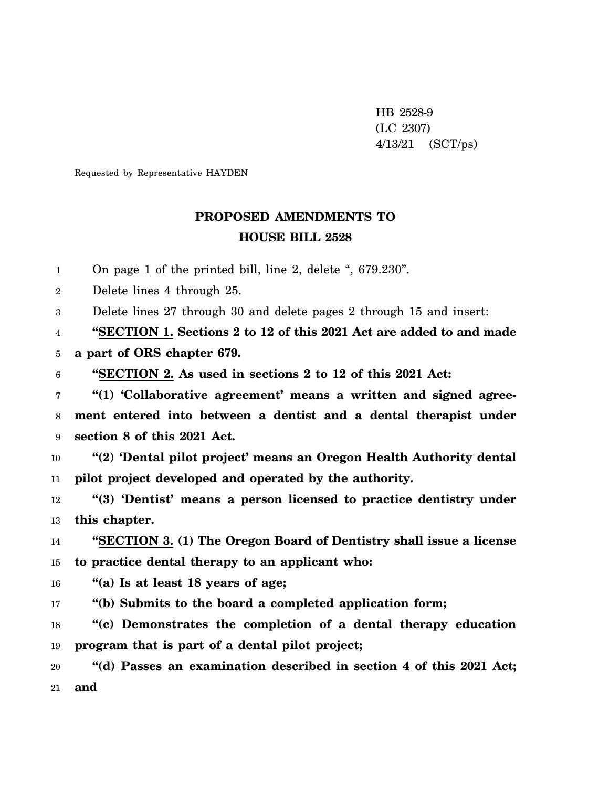HB 2528-9 (LC 2307) 4/13/21 (SCT/ps)

Requested by Representative HAYDEN

## **PROPOSED AMENDMENTS TO HOUSE BILL 2528**

1 On page 1 of the printed bill, line 2, delete ", 679.230".

2 Delete lines 4 through 25.

3 Delete lines 27 through 30 and delete pages 2 through 15 and insert:

4 **"SECTION 1. Sections 2 to 12 of this 2021 Act are added to and made**

5 **a part of ORS chapter 679.**

6 **"SECTION 2. As used in sections 2 to 12 of this 2021 Act:**

7 8 9 **"(1) 'Collaborative agreement' means a written and signed agreement entered into between a dentist and a dental therapist under section 8 of this 2021 Act.**

10 11 **"(2) 'Dental pilot project' means an Oregon Health Authority dental pilot project developed and operated by the authority.**

12 13 **"(3) 'Dentist' means a person licensed to practice dentistry under this chapter.**

14 15 **"SECTION 3. (1) The Oregon Board of Dentistry shall issue a license to practice dental therapy to an applicant who:**

16 **"(a) Is at least 18 years of age;**

17 **"(b) Submits to the board a completed application form;**

18 19 **"(c) Demonstrates the completion of a dental therapy education program that is part of a dental pilot project;**

20 21 **"(d) Passes an examination described in section 4 of this 2021 Act; and**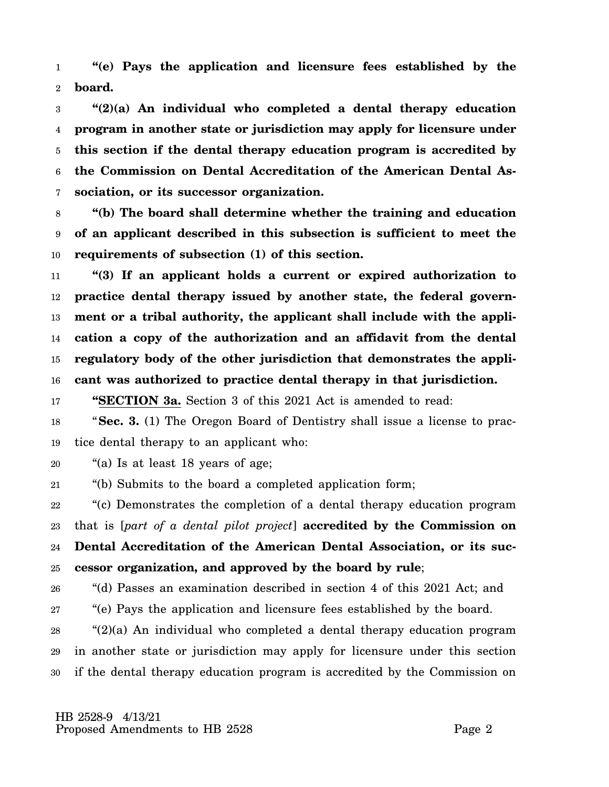1 2 **"(e) Pays the application and licensure fees established by the board.**

3 4 5 6 7 **"(2)(a) An individual who completed a dental therapy education program in another state or jurisdiction may apply for licensure under this section if the dental therapy education program is accredited by the Commission on Dental Accreditation of the American Dental Association, or its successor organization.**

8 9 10 **"(b) The board shall determine whether the training and education of an applicant described in this subsection is sufficient to meet the requirements of subsection (1) of this section.**

11 12 13 14 15 16 **"(3) If an applicant holds a current or expired authorization to practice dental therapy issued by another state, the federal government or a tribal authority, the applicant shall include with the application a copy of the authorization and an affidavit from the dental regulatory body of the other jurisdiction that demonstrates the applicant was authorized to practice dental therapy in that jurisdiction.**

17 **"SECTION 3a.** Section 3 of this 2021 Act is amended to read:

18 19 "**Sec. 3.** (1) The Oregon Board of Dentistry shall issue a license to practice dental therapy to an applicant who:

20 "(a) Is at least 18 years of age;

21 "(b) Submits to the board a completed application form;

22 23 24 25 "(c) Demonstrates the completion of a dental therapy education program that is [*part of a dental pilot project*] **accredited by the Commission on Dental Accreditation of the American Dental Association, or its successor organization, and approved by the board by rule**;

26 "(d) Passes an examination described in section 4 of this 2021 Act; and

27 "(e) Pays the application and licensure fees established by the board.

28 29 30  $\frac{a}{2}(a)$  An individual who completed a dental therapy education program in another state or jurisdiction may apply for licensure under this section if the dental therapy education program is accredited by the Commission on

 HB 2528-9 4/13/21 Proposed Amendments to HB 2528 Page 2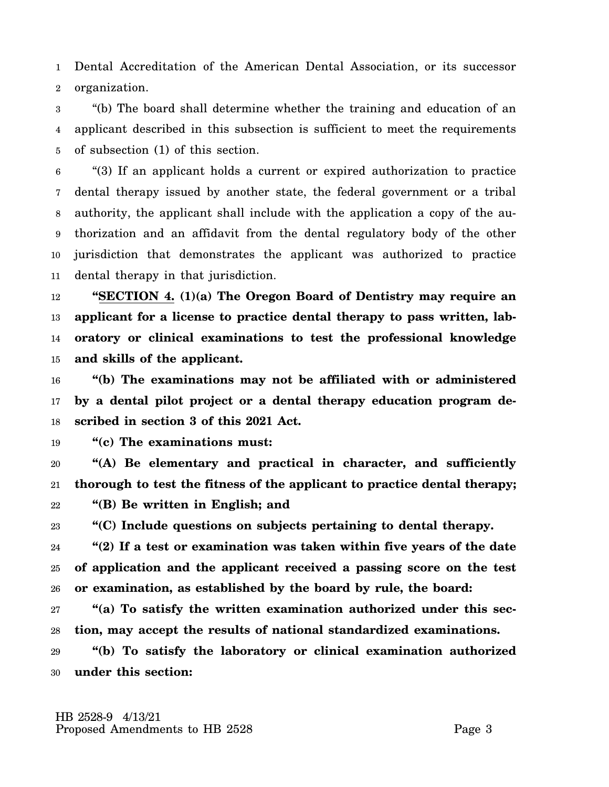1 2 Dental Accreditation of the American Dental Association, or its successor organization.

3 4 5 "(b) The board shall determine whether the training and education of an applicant described in this subsection is sufficient to meet the requirements of subsection (1) of this section.

6 7 8 9 10 11 "(3) If an applicant holds a current or expired authorization to practice dental therapy issued by another state, the federal government or a tribal authority, the applicant shall include with the application a copy of the authorization and an affidavit from the dental regulatory body of the other jurisdiction that demonstrates the applicant was authorized to practice dental therapy in that jurisdiction.

12 13 14 15 **"SECTION 4. (1)(a) The Oregon Board of Dentistry may require an applicant for a license to practice dental therapy to pass written, laboratory or clinical examinations to test the professional knowledge and skills of the applicant.**

16 17 18 **"(b) The examinations may not be affiliated with or administered by a dental pilot project or a dental therapy education program described in section 3 of this 2021 Act.**

19 **"(c) The examinations must:**

20 21 22 **"(A) Be elementary and practical in character, and sufficiently thorough to test the fitness of the applicant to practice dental therapy; "(B) Be written in English; and**

23 **"(C) Include questions on subjects pertaining to dental therapy.**

24 25 26 **"(2) If a test or examination was taken within five years of the date of application and the applicant received a passing score on the test or examination, as established by the board by rule, the board:**

27 28 **"(a) To satisfy the written examination authorized under this section, may accept the results of national standardized examinations.**

29 30 **"(b) To satisfy the laboratory or clinical examination authorized under this section:**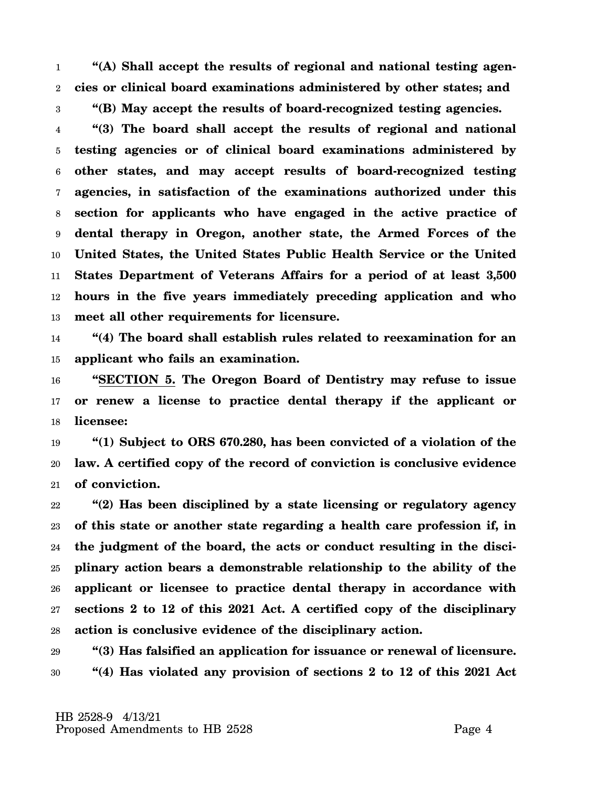1 2 3 **"(A) Shall accept the results of regional and national testing agencies or clinical board examinations administered by other states; and "(B) May accept the results of board-recognized testing agencies.**

4 5 6 7 8 9 10 11 12 13 **"(3) The board shall accept the results of regional and national testing agencies or of clinical board examinations administered by other states, and may accept results of board-recognized testing agencies, in satisfaction of the examinations authorized under this section for applicants who have engaged in the active practice of dental therapy in Oregon, another state, the Armed Forces of the United States, the United States Public Health Service or the United States Department of Veterans Affairs for a period of at least 3,500 hours in the five years immediately preceding application and who meet all other requirements for licensure.**

14 15 **"(4) The board shall establish rules related to reexamination for an applicant who fails an examination.**

16 17 18 **"SECTION 5. The Oregon Board of Dentistry may refuse to issue or renew a license to practice dental therapy if the applicant or licensee:**

19 20 21 **"(1) Subject to ORS 670.280, has been convicted of a violation of the law. A certified copy of the record of conviction is conclusive evidence of conviction.**

22 23 24 25 26 27 28 **"(2) Has been disciplined by a state licensing or regulatory agency of this state or another state regarding a health care profession if, in the judgment of the board, the acts or conduct resulting in the disciplinary action bears a demonstrable relationship to the ability of the applicant or licensee to practice dental therapy in accordance with sections 2 to 12 of this 2021 Act. A certified copy of the disciplinary action is conclusive evidence of the disciplinary action.**

29 30 **"(3) Has falsified an application for issuance or renewal of licensure. "(4) Has violated any provision of sections 2 to 12 of this 2021 Act**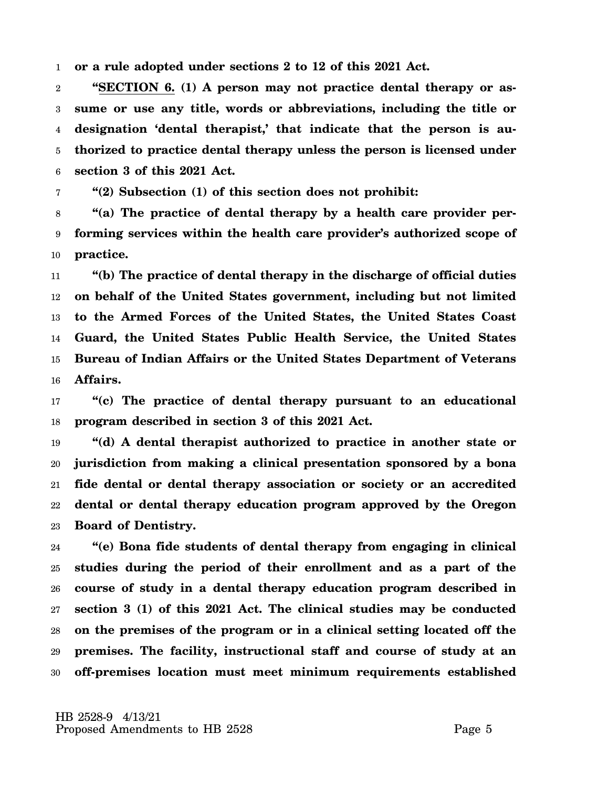1 **or a rule adopted under sections 2 to 12 of this 2021 Act.**

2 3 4 5 6 **"SECTION 6. (1) A person may not practice dental therapy or assume or use any title, words or abbreviations, including the title or designation 'dental therapist,' that indicate that the person is authorized to practice dental therapy unless the person is licensed under section 3 of this 2021 Act.**

7 **"(2) Subsection (1) of this section does not prohibit:**

8 9 10 **"(a) The practice of dental therapy by a health care provider performing services within the health care provider's authorized scope of practice.**

11 12 13 14 15 16 **"(b) The practice of dental therapy in the discharge of official duties on behalf of the United States government, including but not limited to the Armed Forces of the United States, the United States Coast Guard, the United States Public Health Service, the United States Bureau of Indian Affairs or the United States Department of Veterans Affairs.**

17 18 **"(c) The practice of dental therapy pursuant to an educational program described in section 3 of this 2021 Act.**

19 20 21 22 23 **"(d) A dental therapist authorized to practice in another state or jurisdiction from making a clinical presentation sponsored by a bona fide dental or dental therapy association or society or an accredited dental or dental therapy education program approved by the Oregon Board of Dentistry.**

24 25 26 27 28 29 30 **"(e) Bona fide students of dental therapy from engaging in clinical studies during the period of their enrollment and as a part of the course of study in a dental therapy education program described in section 3 (1) of this 2021 Act. The clinical studies may be conducted on the premises of the program or in a clinical setting located off the premises. The facility, instructional staff and course of study at an off-premises location must meet minimum requirements established**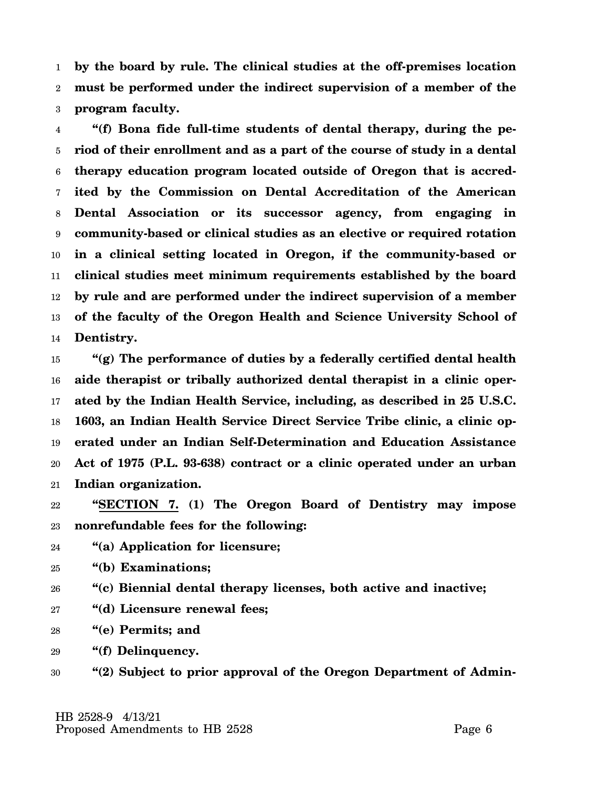1 2 3 **by the board by rule. The clinical studies at the off-premises location must be performed under the indirect supervision of a member of the program faculty.**

4 5 6 7 8 9 10 11 12 13 14 **"(f) Bona fide full-time students of dental therapy, during the period of their enrollment and as a part of the course of study in a dental therapy education program located outside of Oregon that is accredited by the Commission on Dental Accreditation of the American Dental Association or its successor agency, from engaging in community-based or clinical studies as an elective or required rotation in a clinical setting located in Oregon, if the community-based or clinical studies meet minimum requirements established by the board by rule and are performed under the indirect supervision of a member of the faculty of the Oregon Health and Science University School of Dentistry.**

15 16 17 18 19 20 21 **"(g) The performance of duties by a federally certified dental health aide therapist or tribally authorized dental therapist in a clinic operated by the Indian Health Service, including, as described in 25 U.S.C. 1603, an Indian Health Service Direct Service Tribe clinic, a clinic operated under an Indian Self-Determination and Education Assistance Act of 1975 (P.L. 93-638) contract or a clinic operated under an urban Indian organization.**

22 23 **"SECTION 7. (1) The Oregon Board of Dentistry may impose nonrefundable fees for the following:**

- 24 **"(a) Application for licensure;**
- 25 **"(b) Examinations;**

26 **"(c) Biennial dental therapy licenses, both active and inactive;**

- 27 **"(d) Licensure renewal fees;**
- 28 **"(e) Permits; and**

29 **"(f) Delinquency.**

30 **"(2) Subject to prior approval of the Oregon Department of Admin-**

 HB 2528-9 4/13/21 Proposed Amendments to HB 2528 Page 6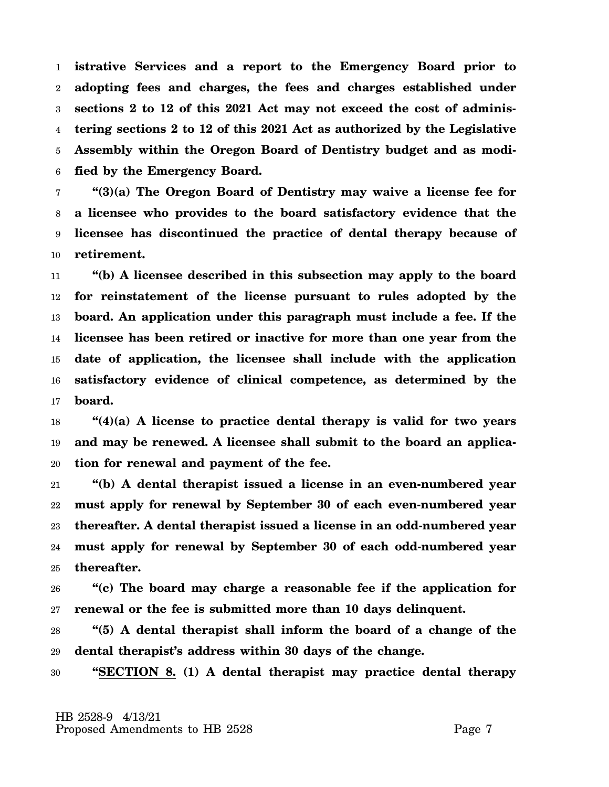1 2 3 4 5 6 **istrative Services and a report to the Emergency Board prior to adopting fees and charges, the fees and charges established under sections 2 to 12 of this 2021 Act may not exceed the cost of administering sections 2 to 12 of this 2021 Act as authorized by the Legislative Assembly within the Oregon Board of Dentistry budget and as modified by the Emergency Board.**

7 8 9 10 **"(3)(a) The Oregon Board of Dentistry may waive a license fee for a licensee who provides to the board satisfactory evidence that the licensee has discontinued the practice of dental therapy because of retirement.**

11 12 13 14 15 16 17 **"(b) A licensee described in this subsection may apply to the board for reinstatement of the license pursuant to rules adopted by the board. An application under this paragraph must include a fee. If the licensee has been retired or inactive for more than one year from the date of application, the licensee shall include with the application satisfactory evidence of clinical competence, as determined by the board.**

18 19 20 **"(4)(a) A license to practice dental therapy is valid for two years and may be renewed. A licensee shall submit to the board an application for renewal and payment of the fee.**

21 22 23 24 25 **"(b) A dental therapist issued a license in an even-numbered year must apply for renewal by September 30 of each even-numbered year thereafter. A dental therapist issued a license in an odd-numbered year must apply for renewal by September 30 of each odd-numbered year thereafter.**

26 27 **"(c) The board may charge a reasonable fee if the application for renewal or the fee is submitted more than 10 days delinquent.**

28 29 **"(5) A dental therapist shall inform the board of a change of the dental therapist's address within 30 days of the change.**

30 **"SECTION 8. (1) A dental therapist may practice dental therapy**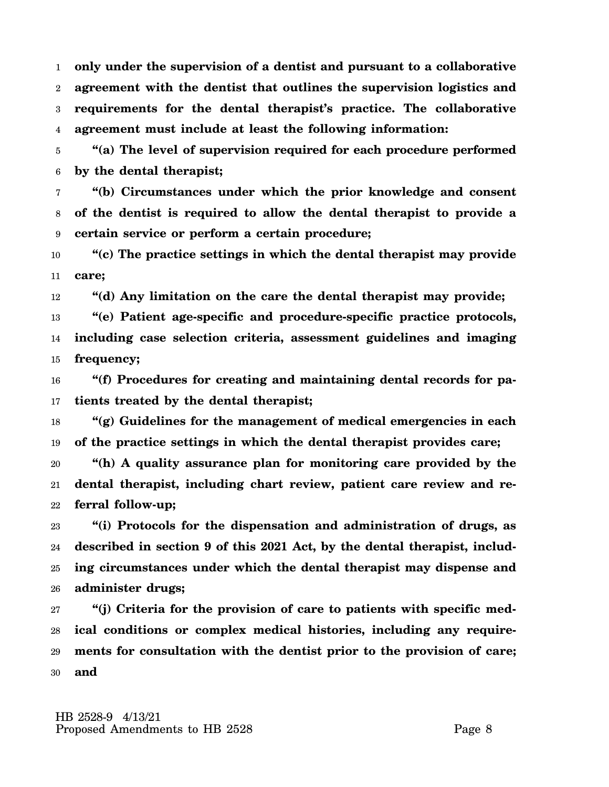1 2 3 4 **only under the supervision of a dentist and pursuant to a collaborative agreement with the dentist that outlines the supervision logistics and requirements for the dental therapist's practice. The collaborative agreement must include at least the following information:**

5 6 **"(a) The level of supervision required for each procedure performed by the dental therapist;**

7 8 9 **"(b) Circumstances under which the prior knowledge and consent of the dentist is required to allow the dental therapist to provide a certain service or perform a certain procedure;**

10 11 **"(c) The practice settings in which the dental therapist may provide care;**

12 **"(d) Any limitation on the care the dental therapist may provide;**

13 14 15 **"(e) Patient age-specific and procedure-specific practice protocols, including case selection criteria, assessment guidelines and imaging frequency;**

16 17 **"(f) Procedures for creating and maintaining dental records for patients treated by the dental therapist;**

18 19 **"(g) Guidelines for the management of medical emergencies in each of the practice settings in which the dental therapist provides care;**

20 21 22 **"(h) A quality assurance plan for monitoring care provided by the dental therapist, including chart review, patient care review and referral follow-up;**

23 24 25 26 **"(i) Protocols for the dispensation and administration of drugs, as described in section 9 of this 2021 Act, by the dental therapist, including circumstances under which the dental therapist may dispense and administer drugs;**

27 28 29 30 **"(j) Criteria for the provision of care to patients with specific medical conditions or complex medical histories, including any requirements for consultation with the dentist prior to the provision of care; and**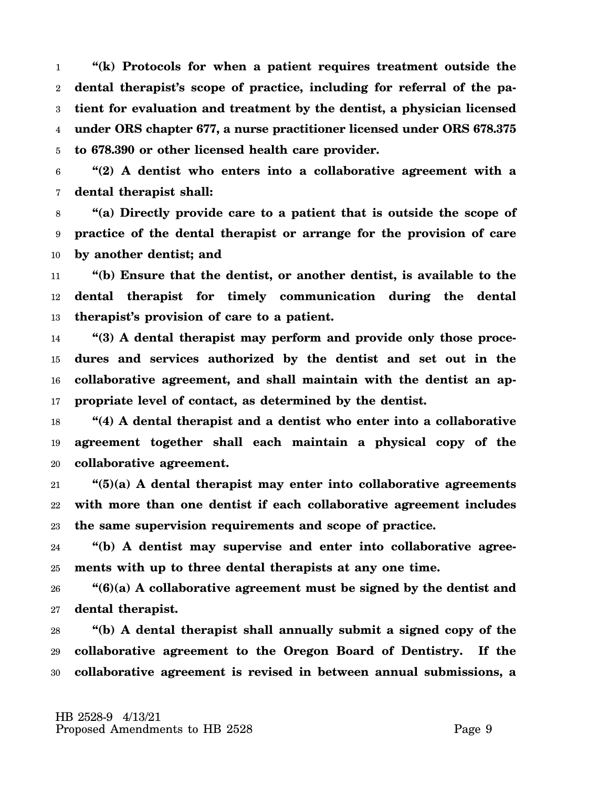1 2 3 4 5 **"(k) Protocols for when a patient requires treatment outside the dental therapist's scope of practice, including for referral of the patient for evaluation and treatment by the dentist, a physician licensed under ORS chapter 677, a nurse practitioner licensed under ORS 678.375 to 678.390 or other licensed health care provider.**

6 7 **"(2) A dentist who enters into a collaborative agreement with a dental therapist shall:**

8 9 10 **"(a) Directly provide care to a patient that is outside the scope of practice of the dental therapist or arrange for the provision of care by another dentist; and**

11 12 13 **"(b) Ensure that the dentist, or another dentist, is available to the dental therapist for timely communication during the dental therapist's provision of care to a patient.**

14 15 16 17 **"(3) A dental therapist may perform and provide only those procedures and services authorized by the dentist and set out in the collaborative agreement, and shall maintain with the dentist an appropriate level of contact, as determined by the dentist.**

18 19 20 **"(4) A dental therapist and a dentist who enter into a collaborative agreement together shall each maintain a physical copy of the collaborative agreement.**

21 22 23 **"(5)(a) A dental therapist may enter into collaborative agreements with more than one dentist if each collaborative agreement includes the same supervision requirements and scope of practice.**

24 25 **"(b) A dentist may supervise and enter into collaborative agreements with up to three dental therapists at any one time.**

26 27 **"(6)(a) A collaborative agreement must be signed by the dentist and dental therapist.**

28 29 30 **"(b) A dental therapist shall annually submit a signed copy of the collaborative agreement to the Oregon Board of Dentistry. If the collaborative agreement is revised in between annual submissions, a**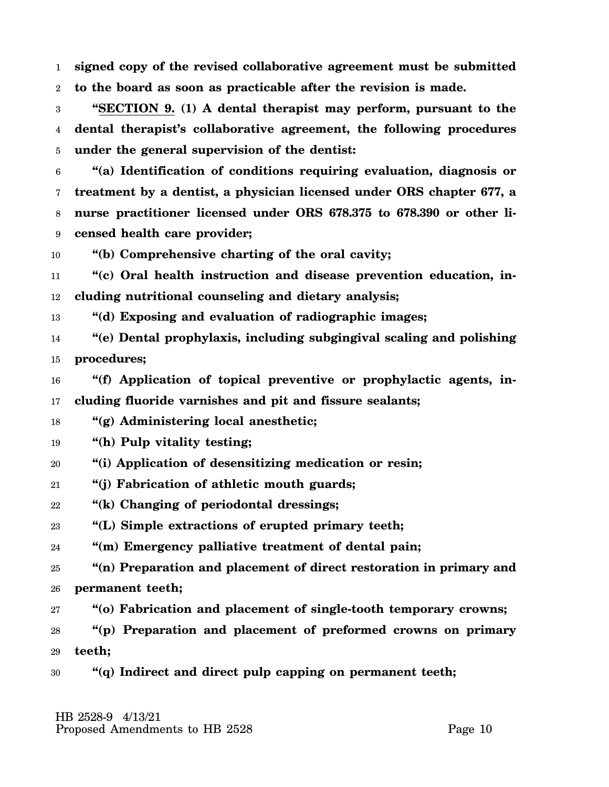1 2 **signed copy of the revised collaborative agreement must be submitted to the board as soon as practicable after the revision is made.**

3 4 5 **"SECTION 9. (1) A dental therapist may perform, pursuant to the dental therapist's collaborative agreement, the following procedures under the general supervision of the dentist:**

6 7 8 9 **"(a) Identification of conditions requiring evaluation, diagnosis or treatment by a dentist, a physician licensed under ORS chapter 677, a nurse practitioner licensed under ORS 678.375 to 678.390 or other licensed health care provider;**

10 **"(b) Comprehensive charting of the oral cavity;**

11 12 **"(c) Oral health instruction and disease prevention education, including nutritional counseling and dietary analysis;**

13 **"(d) Exposing and evaluation of radiographic images;**

14 15 **"(e) Dental prophylaxis, including subgingival scaling and polishing procedures;**

16 17 **"(f) Application of topical preventive or prophylactic agents, including fluoride varnishes and pit and fissure sealants;**

- 18 **"(g) Administering local anesthetic;**
- 19 **"(h) Pulp vitality testing;**
- 20 **"(i) Application of desensitizing medication or resin;**
- 21 **"(j) Fabrication of athletic mouth guards;**
- 22 **"(k) Changing of periodontal dressings;**

23 **"(L) Simple extractions of erupted primary teeth;**

24 **"(m) Emergency palliative treatment of dental pain;**

25 26 **"(n) Preparation and placement of direct restoration in primary and permanent teeth;**

27 **"(o) Fabrication and placement of single-tooth temporary crowns;**

28 29 **"(p) Preparation and placement of preformed crowns on primary teeth;**

30 **"(q) Indirect and direct pulp capping on permanent teeth;**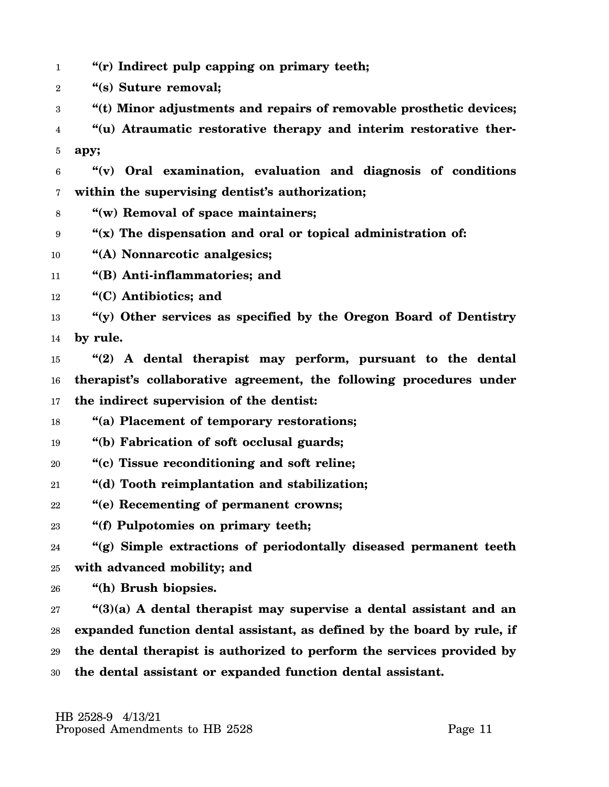- 1 **"(r) Indirect pulp capping on primary teeth;**
- 2 **"(s) Suture removal;**
- 3 **"(t) Minor adjustments and repairs of removable prosthetic devices;**
- 4 5 **"(u) Atraumatic restorative therapy and interim restorative therapy;**
- 6 7 **"(v) Oral examination, evaluation and diagnosis of conditions within the supervising dentist's authorization;**
- 8 **"(w) Removal of space maintainers;**
- 9 **"(x) The dispensation and oral or topical administration of:**
- 10 **"(A) Nonnarcotic analgesics;**
- 11 **"(B) Anti-inflammatories; and**
- 12 **"(C) Antibiotics; and**
- 13 14 **"(y) Other services as specified by the Oregon Board of Dentistry by rule.**
- 15 16 17 **"(2) A dental therapist may perform, pursuant to the dental therapist's collaborative agreement, the following procedures under the indirect supervision of the dentist:**
- 18 **"(a) Placement of temporary restorations;**
- 19 **"(b) Fabrication of soft occlusal guards;**
- 20 **"(c) Tissue reconditioning and soft reline;**
- 21 **"(d) Tooth reimplantation and stabilization;**
- 22 **"(e) Recementing of permanent crowns;**
- 23 **"(f) Pulpotomies on primary teeth;**
- 24 25 **"(g) Simple extractions of periodontally diseased permanent teeth with advanced mobility; and**
- 26 **"(h) Brush biopsies.**

27 28 29 30 **"(3)(a) A dental therapist may supervise a dental assistant and an expanded function dental assistant, as defined by the board by rule, if the dental therapist is authorized to perform the services provided by the dental assistant or expanded function dental assistant.**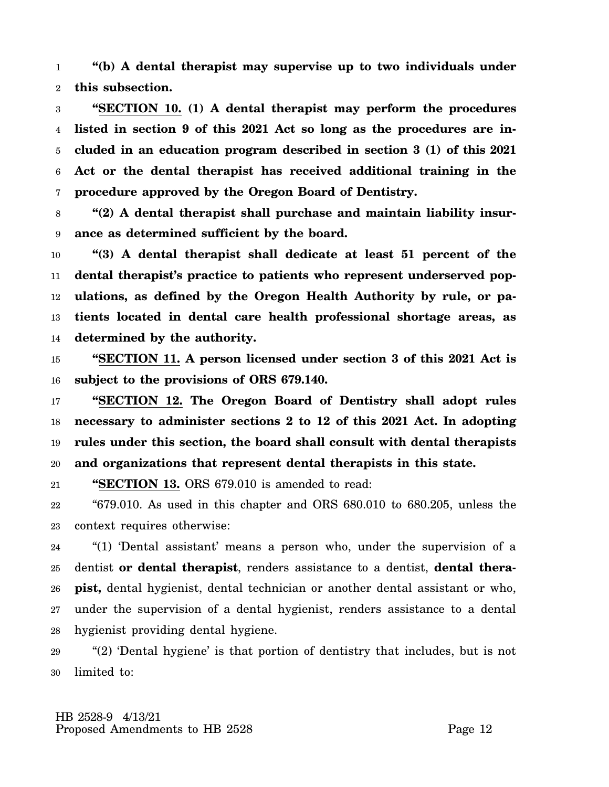1 2 **"(b) A dental therapist may supervise up to two individuals under this subsection.**

3 4 5 6 7 **"SECTION 10. (1) A dental therapist may perform the procedures listed in section 9 of this 2021 Act so long as the procedures are included in an education program described in section 3 (1) of this 2021 Act or the dental therapist has received additional training in the procedure approved by the Oregon Board of Dentistry.**

8 9 **"(2) A dental therapist shall purchase and maintain liability insurance as determined sufficient by the board.**

10 11 12 13 14 **"(3) A dental therapist shall dedicate at least 51 percent of the dental therapist's practice to patients who represent underserved populations, as defined by the Oregon Health Authority by rule, or patients located in dental care health professional shortage areas, as determined by the authority.**

15 16 **"SECTION 11. A person licensed under section 3 of this 2021 Act is subject to the provisions of ORS 679.140.**

17 18 19 20 **"SECTION 12. The Oregon Board of Dentistry shall adopt rules necessary to administer sections 2 to 12 of this 2021 Act. In adopting rules under this section, the board shall consult with dental therapists and organizations that represent dental therapists in this state.**

21 **"SECTION 13.** ORS 679.010 is amended to read:

22 23 "679.010. As used in this chapter and ORS 680.010 to 680.205, unless the context requires otherwise:

24 25 26 27 28 "(1) 'Dental assistant' means a person who, under the supervision of a dentist **or dental therapist**, renders assistance to a dentist, **dental therapist,** dental hygienist, dental technician or another dental assistant or who, under the supervision of a dental hygienist, renders assistance to a dental hygienist providing dental hygiene.

29 30 "(2) 'Dental hygiene' is that portion of dentistry that includes, but is not limited to: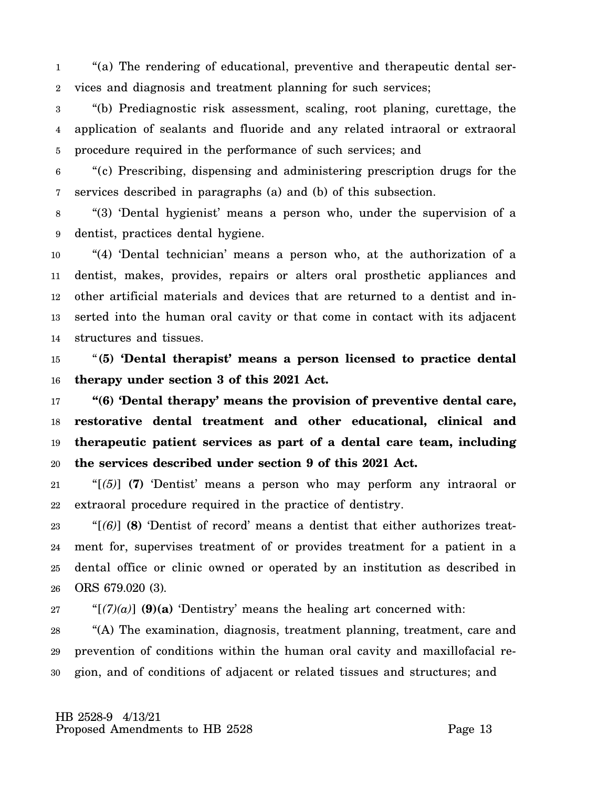1 2 "(a) The rendering of educational, preventive and therapeutic dental services and diagnosis and treatment planning for such services;

3 4 5 "(b) Prediagnostic risk assessment, scaling, root planing, curettage, the application of sealants and fluoride and any related intraoral or extraoral procedure required in the performance of such services; and

6 7 "(c) Prescribing, dispensing and administering prescription drugs for the services described in paragraphs (a) and (b) of this subsection.

8 9 "(3) 'Dental hygienist' means a person who, under the supervision of a dentist, practices dental hygiene.

10 11 12 13 14 "(4) 'Dental technician' means a person who, at the authorization of a dentist, makes, provides, repairs or alters oral prosthetic appliances and other artificial materials and devices that are returned to a dentist and inserted into the human oral cavity or that come in contact with its adjacent structures and tissues.

15 16 "**(5) 'Dental therapist' means a person licensed to practice dental therapy under section 3 of this 2021 Act.**

17 18 19 20 **"(6) 'Dental therapy' means the provision of preventive dental care, restorative dental treatment and other educational, clinical and therapeutic patient services as part of a dental care team, including the services described under section 9 of this 2021 Act.**

21 22 "[*(5)*] **(7)** 'Dentist' means a person who may perform any intraoral or extraoral procedure required in the practice of dentistry.

23 24 25 26 "[*(6)*] **(8)** 'Dentist of record' means a dentist that either authorizes treatment for, supervises treatment of or provides treatment for a patient in a dental office or clinic owned or operated by an institution as described in ORS 679.020 (3).

27 " $[(7)(a)]$  (9)(a) 'Dentistry' means the healing art concerned with:

28 29 30 "(A) The examination, diagnosis, treatment planning, treatment, care and prevention of conditions within the human oral cavity and maxillofacial region, and of conditions of adjacent or related tissues and structures; and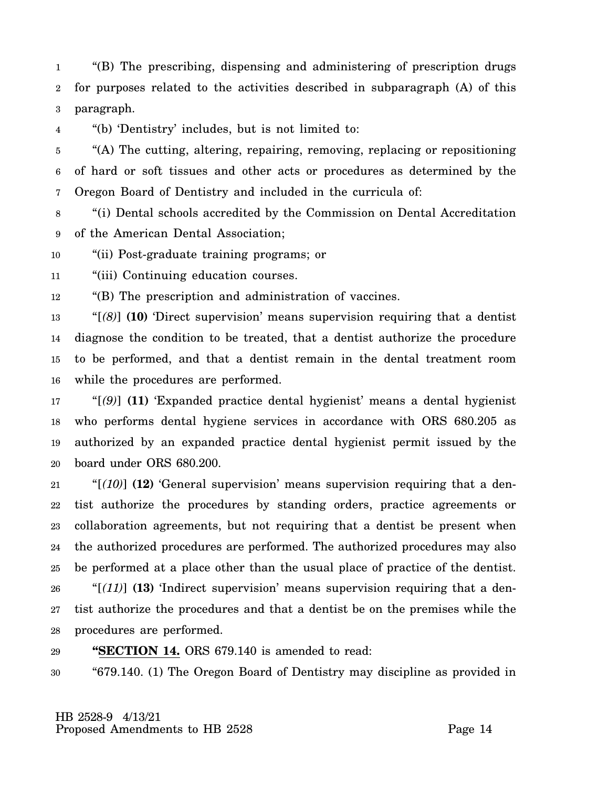1 2 3 "(B) The prescribing, dispensing and administering of prescription drugs for purposes related to the activities described in subparagraph (A) of this paragraph.

4 "(b) 'Dentistry' includes, but is not limited to:

5 6 7 "(A) The cutting, altering, repairing, removing, replacing or repositioning of hard or soft tissues and other acts or procedures as determined by the Oregon Board of Dentistry and included in the curricula of:

8 9 "(i) Dental schools accredited by the Commission on Dental Accreditation of the American Dental Association;

10 "(ii) Post-graduate training programs; or

11 "(iii) Continuing education courses.

12 "(B) The prescription and administration of vaccines.

13 14 15 16 "[*(8)*] **(10)** 'Direct supervision' means supervision requiring that a dentist diagnose the condition to be treated, that a dentist authorize the procedure to be performed, and that a dentist remain in the dental treatment room while the procedures are performed.

17 18 19 20 "[*(9)*] **(11)** 'Expanded practice dental hygienist' means a dental hygienist who performs dental hygiene services in accordance with ORS 680.205 as authorized by an expanded practice dental hygienist permit issued by the board under ORS 680.200.

21 22 23 24 25 26 27 28 "[*(10)*] **(12)** 'General supervision' means supervision requiring that a dentist authorize the procedures by standing orders, practice agreements or collaboration agreements, but not requiring that a dentist be present when the authorized procedures are performed. The authorized procedures may also be performed at a place other than the usual place of practice of the dentist. "[*(11)*] **(13)** 'Indirect supervision' means supervision requiring that a dentist authorize the procedures and that a dentist be on the premises while the procedures are performed.

29 **"SECTION 14.** ORS 679.140 is amended to read:

30 "679.140. (1) The Oregon Board of Dentistry may discipline as provided in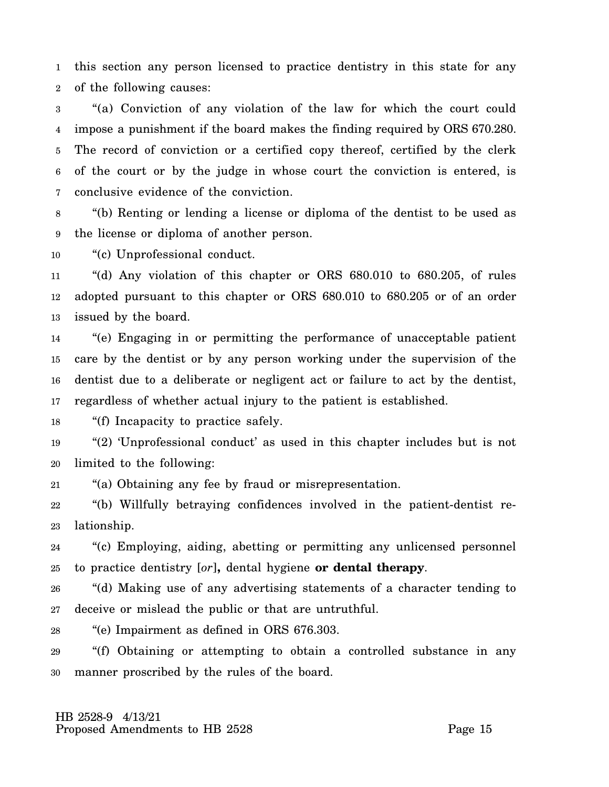1 2 this section any person licensed to practice dentistry in this state for any of the following causes:

3 4 5 6 7 "(a) Conviction of any violation of the law for which the court could impose a punishment if the board makes the finding required by ORS 670.280. The record of conviction or a certified copy thereof, certified by the clerk of the court or by the judge in whose court the conviction is entered, is conclusive evidence of the conviction.

8 9 "(b) Renting or lending a license or diploma of the dentist to be used as the license or diploma of another person.

10 "(c) Unprofessional conduct.

11 12 13 "(d) Any violation of this chapter or ORS 680.010 to 680.205, of rules adopted pursuant to this chapter or ORS 680.010 to 680.205 or of an order issued by the board.

14 15 16 17 "(e) Engaging in or permitting the performance of unacceptable patient care by the dentist or by any person working under the supervision of the dentist due to a deliberate or negligent act or failure to act by the dentist, regardless of whether actual injury to the patient is established.

18 "(f) Incapacity to practice safely.

19 20 "(2) 'Unprofessional conduct' as used in this chapter includes but is not limited to the following:

21 "(a) Obtaining any fee by fraud or misrepresentation.

22 23 "(b) Willfully betraying confidences involved in the patient-dentist relationship.

24 25 "(c) Employing, aiding, abetting or permitting any unlicensed personnel to practice dentistry [*or*]**,** dental hygiene **or dental therapy**.

26 27 "(d) Making use of any advertising statements of a character tending to deceive or mislead the public or that are untruthful.

28 "(e) Impairment as defined in ORS 676.303.

29 30 "(f) Obtaining or attempting to obtain a controlled substance in any manner proscribed by the rules of the board.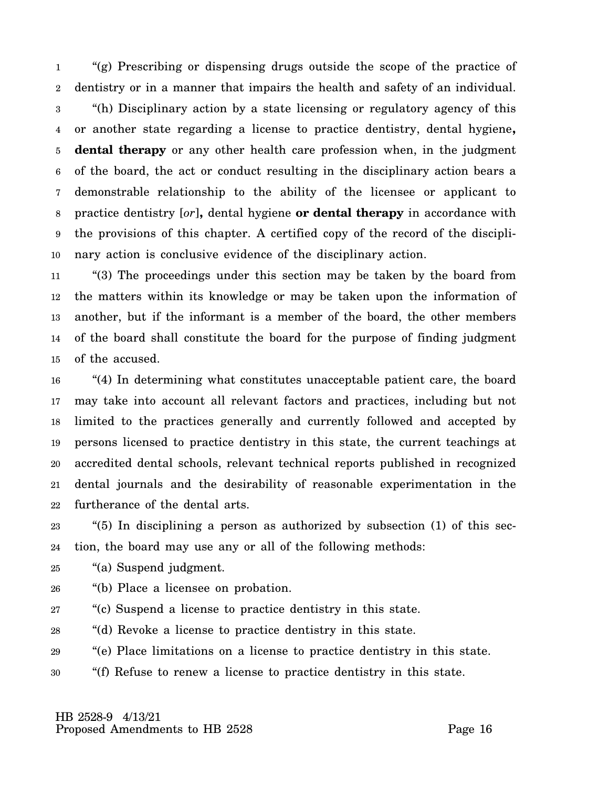1 2 3 4 5 6 7 8 9 10 "(g) Prescribing or dispensing drugs outside the scope of the practice of dentistry or in a manner that impairs the health and safety of an individual. "(h) Disciplinary action by a state licensing or regulatory agency of this or another state regarding a license to practice dentistry, dental hygiene**, dental therapy** or any other health care profession when, in the judgment of the board, the act or conduct resulting in the disciplinary action bears a demonstrable relationship to the ability of the licensee or applicant to practice dentistry [*or*]**,** dental hygiene **or dental therapy** in accordance with the provisions of this chapter. A certified copy of the record of the disciplinary action is conclusive evidence of the disciplinary action.

11 12 13 14 15 "(3) The proceedings under this section may be taken by the board from the matters within its knowledge or may be taken upon the information of another, but if the informant is a member of the board, the other members of the board shall constitute the board for the purpose of finding judgment of the accused.

16 17 18 19 20 21 22 "(4) In determining what constitutes unacceptable patient care, the board may take into account all relevant factors and practices, including but not limited to the practices generally and currently followed and accepted by persons licensed to practice dentistry in this state, the current teachings at accredited dental schools, relevant technical reports published in recognized dental journals and the desirability of reasonable experimentation in the furtherance of the dental arts.

23 24 "(5) In disciplining a person as authorized by subsection  $(1)$  of this section, the board may use any or all of the following methods:

25 "(a) Suspend judgment.

- 26 "(b) Place a licensee on probation.
- 27 "(c) Suspend a license to practice dentistry in this state.
- 28 "(d) Revoke a license to practice dentistry in this state.
- 29 "(e) Place limitations on a license to practice dentistry in this state.
- 30 "(f) Refuse to renew a license to practice dentistry in this state.

 HB 2528-9 4/13/21 Proposed Amendments to HB 2528 Proposed Amendments to HB 2528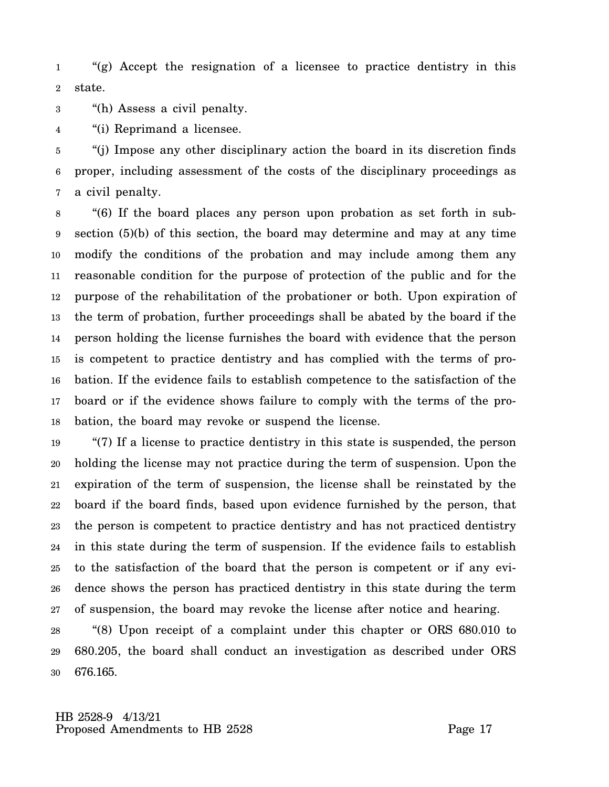1 2 "(g) Accept the resignation of a licensee to practice dentistry in this state.

3 "(h) Assess a civil penalty.

4 "(i) Reprimand a licensee.

5 6 7 "(j) Impose any other disciplinary action the board in its discretion finds proper, including assessment of the costs of the disciplinary proceedings as a civil penalty.

8 9 10 11 12 13 14 15 16 17 18 "(6) If the board places any person upon probation as set forth in subsection (5)(b) of this section, the board may determine and may at any time modify the conditions of the probation and may include among them any reasonable condition for the purpose of protection of the public and for the purpose of the rehabilitation of the probationer or both. Upon expiration of the term of probation, further proceedings shall be abated by the board if the person holding the license furnishes the board with evidence that the person is competent to practice dentistry and has complied with the terms of probation. If the evidence fails to establish competence to the satisfaction of the board or if the evidence shows failure to comply with the terms of the probation, the board may revoke or suspend the license.

19 20 21 22 23 24 25 26 27 "(7) If a license to practice dentistry in this state is suspended, the person holding the license may not practice during the term of suspension. Upon the expiration of the term of suspension, the license shall be reinstated by the board if the board finds, based upon evidence furnished by the person, that the person is competent to practice dentistry and has not practiced dentistry in this state during the term of suspension. If the evidence fails to establish to the satisfaction of the board that the person is competent or if any evidence shows the person has practiced dentistry in this state during the term of suspension, the board may revoke the license after notice and hearing.

28 29 30 "(8) Upon receipt of a complaint under this chapter or ORS 680.010 to 680.205, the board shall conduct an investigation as described under ORS 676.165.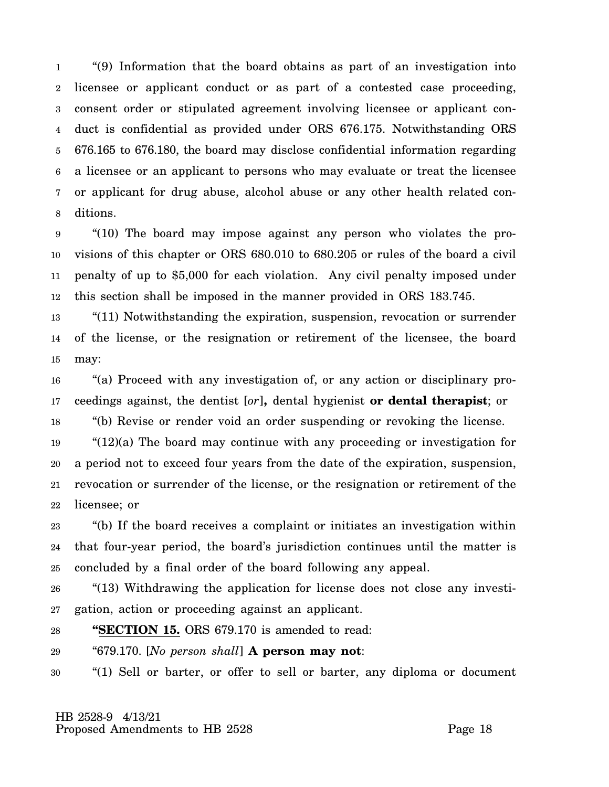1 2 3 4 5 6 7 8 "(9) Information that the board obtains as part of an investigation into licensee or applicant conduct or as part of a contested case proceeding, consent order or stipulated agreement involving licensee or applicant conduct is confidential as provided under ORS 676.175. Notwithstanding ORS 676.165 to 676.180, the board may disclose confidential information regarding a licensee or an applicant to persons who may evaluate or treat the licensee or applicant for drug abuse, alcohol abuse or any other health related conditions.

9 10 11 12 "(10) The board may impose against any person who violates the provisions of this chapter or ORS 680.010 to 680.205 or rules of the board a civil penalty of up to \$5,000 for each violation. Any civil penalty imposed under this section shall be imposed in the manner provided in ORS 183.745.

13 14 15 "(11) Notwithstanding the expiration, suspension, revocation or surrender of the license, or the resignation or retirement of the licensee, the board may:

16 17 "(a) Proceed with any investigation of, or any action or disciplinary proceedings against, the dentist [*or*]**,** dental hygienist **or dental therapist**; or

18 "(b) Revise or render void an order suspending or revoking the license.

19 20 21 22 "(12)(a) The board may continue with any proceeding or investigation for a period not to exceed four years from the date of the expiration, suspension, revocation or surrender of the license, or the resignation or retirement of the licensee; or

23 24 25 "(b) If the board receives a complaint or initiates an investigation within that four-year period, the board's jurisdiction continues until the matter is concluded by a final order of the board following any appeal.

26 27 "(13) Withdrawing the application for license does not close any investigation, action or proceeding against an applicant.

## 28 **"SECTION 15.** ORS 679.170 is amended to read:

29 "679.170. [*No person shall*] **A person may not**:

30 "(1) Sell or barter, or offer to sell or barter, any diploma or document

 HB 2528-9 4/13/21 Proposed Amendments to HB 2528 Proposed Amendments to HB 2528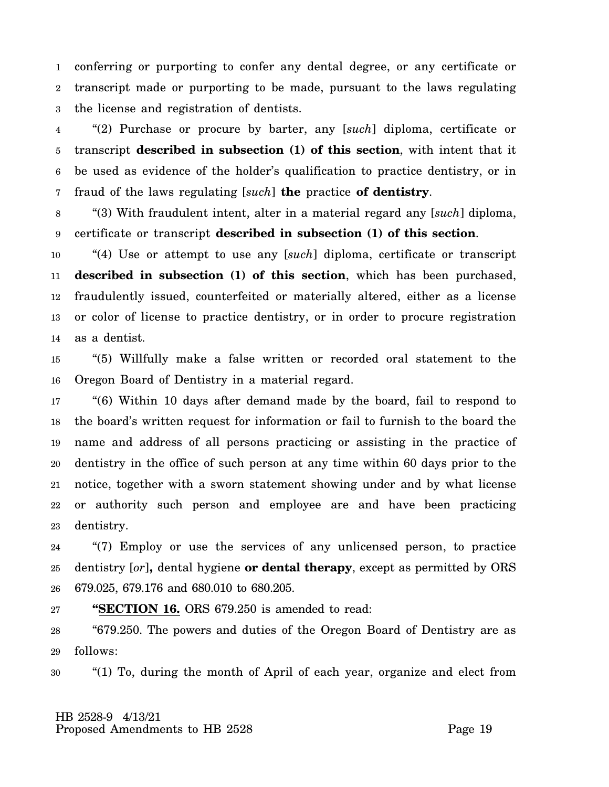1 2 3 conferring or purporting to confer any dental degree, or any certificate or transcript made or purporting to be made, pursuant to the laws regulating the license and registration of dentists.

4 5 6 7 "(2) Purchase or procure by barter, any [*such*] diploma, certificate or transcript **described in subsection (1) of this section**, with intent that it be used as evidence of the holder's qualification to practice dentistry, or in fraud of the laws regulating [*such*] **the** practice **of dentistry**.

8 9 "(3) With fraudulent intent, alter in a material regard any [*such*] diploma, certificate or transcript **described in subsection (1) of this section**.

10 11 12 13 14 "(4) Use or attempt to use any [*such*] diploma, certificate or transcript **described in subsection (1) of this section**, which has been purchased, fraudulently issued, counterfeited or materially altered, either as a license or color of license to practice dentistry, or in order to procure registration as a dentist.

15 16 "(5) Willfully make a false written or recorded oral statement to the Oregon Board of Dentistry in a material regard.

17 18 19 20 21 22 23 "(6) Within 10 days after demand made by the board, fail to respond to the board's written request for information or fail to furnish to the board the name and address of all persons practicing or assisting in the practice of dentistry in the office of such person at any time within 60 days prior to the notice, together with a sworn statement showing under and by what license or authority such person and employee are and have been practicing dentistry.

24 25 26 "(7) Employ or use the services of any unlicensed person, to practice dentistry [*or*]**,** dental hygiene **or dental therapy**, except as permitted by ORS 679.025, 679.176 and 680.010 to 680.205.

## 27 **"SECTION 16.** ORS 679.250 is amended to read:

28 29 "679.250. The powers and duties of the Oregon Board of Dentistry are as follows:

30 "(1) To, during the month of April of each year, organize and elect from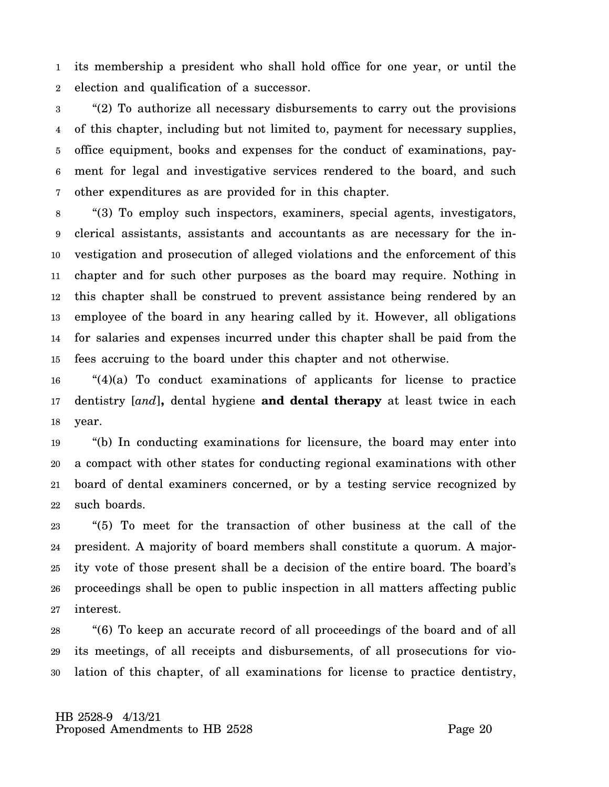1 2 its membership a president who shall hold office for one year, or until the election and qualification of a successor.

3 4 5 6 7 "(2) To authorize all necessary disbursements to carry out the provisions of this chapter, including but not limited to, payment for necessary supplies, office equipment, books and expenses for the conduct of examinations, payment for legal and investigative services rendered to the board, and such other expenditures as are provided for in this chapter.

8 9 10 11 12 13 14 15 "(3) To employ such inspectors, examiners, special agents, investigators, clerical assistants, assistants and accountants as are necessary for the investigation and prosecution of alleged violations and the enforcement of this chapter and for such other purposes as the board may require. Nothing in this chapter shall be construed to prevent assistance being rendered by an employee of the board in any hearing called by it. However, all obligations for salaries and expenses incurred under this chapter shall be paid from the fees accruing to the board under this chapter and not otherwise.

16 17 18 "(4)(a) To conduct examinations of applicants for license to practice dentistry [*and*]**,** dental hygiene **and dental therapy** at least twice in each year.

19 20 21 22 "(b) In conducting examinations for licensure, the board may enter into a compact with other states for conducting regional examinations with other board of dental examiners concerned, or by a testing service recognized by such boards.

23 24 25 26 27 "(5) To meet for the transaction of other business at the call of the president. A majority of board members shall constitute a quorum. A majority vote of those present shall be a decision of the entire board. The board's proceedings shall be open to public inspection in all matters affecting public interest.

28 29 30 "(6) To keep an accurate record of all proceedings of the board and of all its meetings, of all receipts and disbursements, of all prosecutions for violation of this chapter, of all examinations for license to practice dentistry,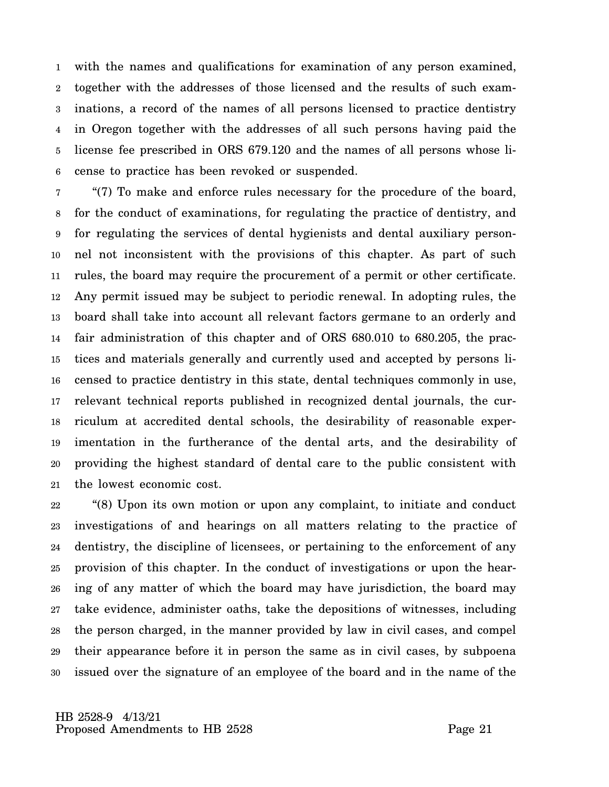1 2 3 4 5 6 with the names and qualifications for examination of any person examined, together with the addresses of those licensed and the results of such examinations, a record of the names of all persons licensed to practice dentistry in Oregon together with the addresses of all such persons having paid the license fee prescribed in ORS 679.120 and the names of all persons whose license to practice has been revoked or suspended.

7 8 9 10 11 12 13 14 15 16 17 18 19 20 21 "(7) To make and enforce rules necessary for the procedure of the board, for the conduct of examinations, for regulating the practice of dentistry, and for regulating the services of dental hygienists and dental auxiliary personnel not inconsistent with the provisions of this chapter. As part of such rules, the board may require the procurement of a permit or other certificate. Any permit issued may be subject to periodic renewal. In adopting rules, the board shall take into account all relevant factors germane to an orderly and fair administration of this chapter and of ORS 680.010 to 680.205, the practices and materials generally and currently used and accepted by persons licensed to practice dentistry in this state, dental techniques commonly in use, relevant technical reports published in recognized dental journals, the curriculum at accredited dental schools, the desirability of reasonable experimentation in the furtherance of the dental arts, and the desirability of providing the highest standard of dental care to the public consistent with the lowest economic cost.

22 23 24 25 26 27 28 29 30 "(8) Upon its own motion or upon any complaint, to initiate and conduct investigations of and hearings on all matters relating to the practice of dentistry, the discipline of licensees, or pertaining to the enforcement of any provision of this chapter. In the conduct of investigations or upon the hearing of any matter of which the board may have jurisdiction, the board may take evidence, administer oaths, take the depositions of witnesses, including the person charged, in the manner provided by law in civil cases, and compel their appearance before it in person the same as in civil cases, by subpoena issued over the signature of an employee of the board and in the name of the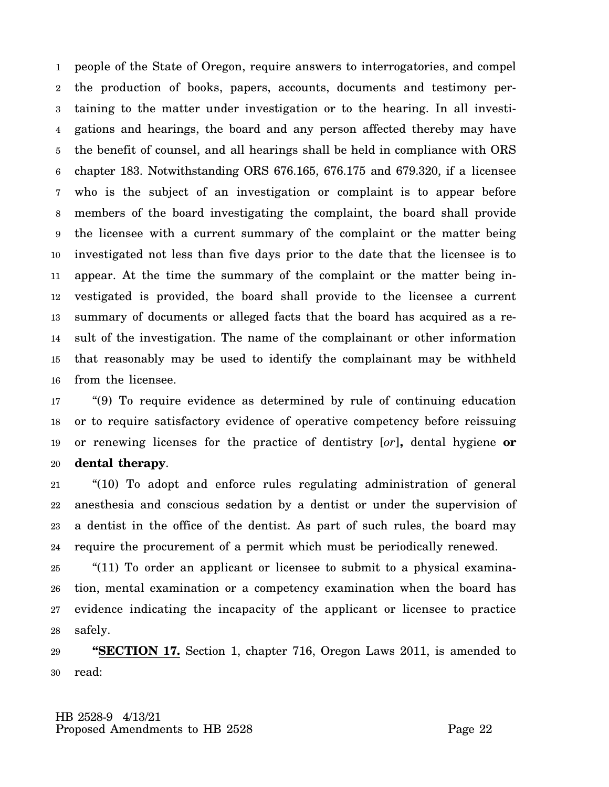1 2 3 4 5 6 7 8 9 10 11 12 13 14 15 16 people of the State of Oregon, require answers to interrogatories, and compel the production of books, papers, accounts, documents and testimony pertaining to the matter under investigation or to the hearing. In all investigations and hearings, the board and any person affected thereby may have the benefit of counsel, and all hearings shall be held in compliance with ORS chapter 183. Notwithstanding ORS 676.165, 676.175 and 679.320, if a licensee who is the subject of an investigation or complaint is to appear before members of the board investigating the complaint, the board shall provide the licensee with a current summary of the complaint or the matter being investigated not less than five days prior to the date that the licensee is to appear. At the time the summary of the complaint or the matter being investigated is provided, the board shall provide to the licensee a current summary of documents or alleged facts that the board has acquired as a result of the investigation. The name of the complainant or other information that reasonably may be used to identify the complainant may be withheld from the licensee.

17 18 19 20 "(9) To require evidence as determined by rule of continuing education or to require satisfactory evidence of operative competency before reissuing or renewing licenses for the practice of dentistry [*or*]**,** dental hygiene **or dental therapy**.

21 22 23 24 "(10) To adopt and enforce rules regulating administration of general anesthesia and conscious sedation by a dentist or under the supervision of a dentist in the office of the dentist. As part of such rules, the board may require the procurement of a permit which must be periodically renewed.

25 26 27 28 "(11) To order an applicant or licensee to submit to a physical examination, mental examination or a competency examination when the board has evidence indicating the incapacity of the applicant or licensee to practice safely.

29 30 **"SECTION 17.** Section 1, chapter 716, Oregon Laws 2011, is amended to read: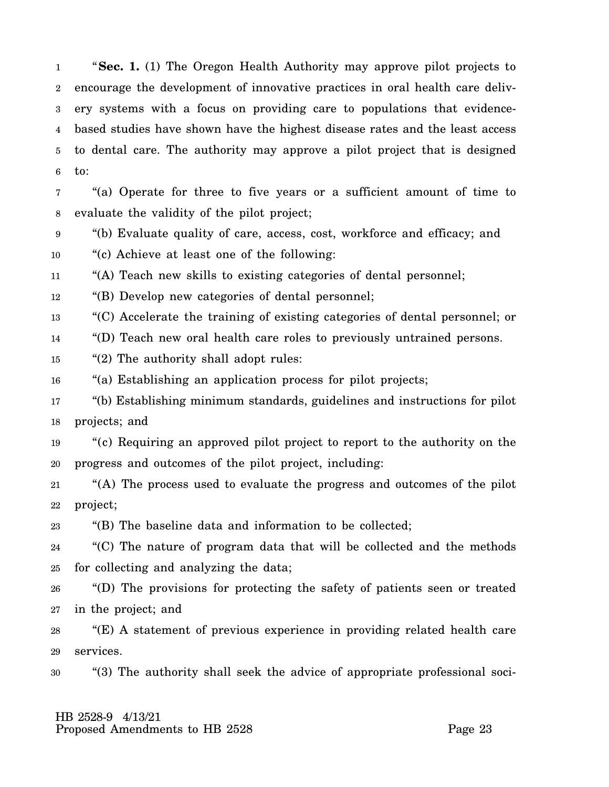1 2 3 4 5 6 "**Sec. 1.** (1) The Oregon Health Authority may approve pilot projects to encourage the development of innovative practices in oral health care delivery systems with a focus on providing care to populations that evidencebased studies have shown have the highest disease rates and the least access to dental care. The authority may approve a pilot project that is designed to:

7 8 "(a) Operate for three to five years or a sufficient amount of time to evaluate the validity of the pilot project;

9 10 "(b) Evaluate quality of care, access, cost, workforce and efficacy; and "(c) Achieve at least one of the following:

11 "(A) Teach new skills to existing categories of dental personnel;

12 "(B) Develop new categories of dental personnel;

13 "(C) Accelerate the training of existing categories of dental personnel; or

14 "(D) Teach new oral health care roles to previously untrained persons.

15 "(2) The authority shall adopt rules:

16 "(a) Establishing an application process for pilot projects;

17 18 "(b) Establishing minimum standards, guidelines and instructions for pilot projects; and

19 20 "(c) Requiring an approved pilot project to report to the authority on the progress and outcomes of the pilot project, including:

21 22 "(A) The process used to evaluate the progress and outcomes of the pilot project;

23 "(B) The baseline data and information to be collected;

24 25 "(C) The nature of program data that will be collected and the methods for collecting and analyzing the data;

26 27 "(D) The provisions for protecting the safety of patients seen or treated in the project; and

28 29 "(E) A statement of previous experience in providing related health care services.

30 "(3) The authority shall seek the advice of appropriate professional soci-

## HB 2528-9 4/13/21 Proposed Amendments to HB 2528 Page 23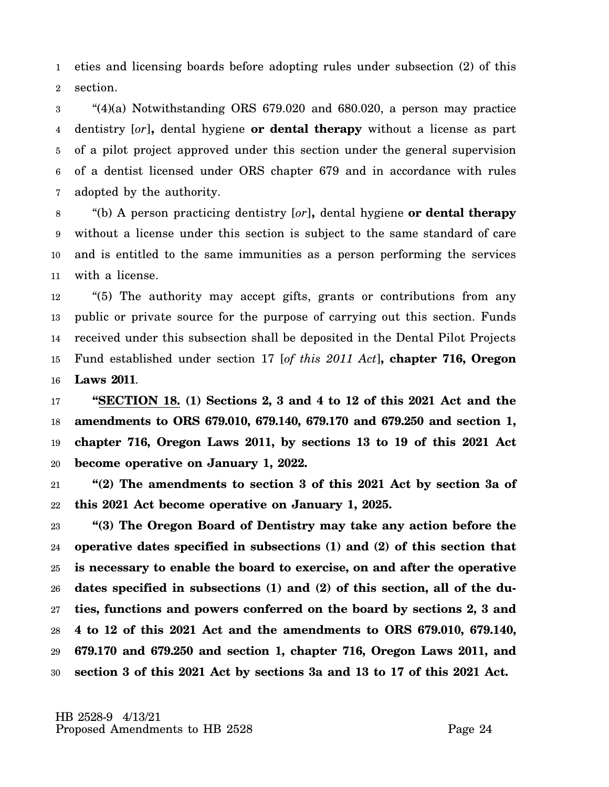1 2 eties and licensing boards before adopting rules under subsection (2) of this section.

3 4 5 6 7 "(4)(a) Notwithstanding ORS 679.020 and 680.020, a person may practice dentistry [*or*]**,** dental hygiene **or dental therapy** without a license as part of a pilot project approved under this section under the general supervision of a dentist licensed under ORS chapter 679 and in accordance with rules adopted by the authority.

8 9 10 11 "(b) A person practicing dentistry [*or*]**,** dental hygiene **or dental therapy** without a license under this section is subject to the same standard of care and is entitled to the same immunities as a person performing the services with a license.

12 13 14 15 16 "(5) The authority may accept gifts, grants or contributions from any public or private source for the purpose of carrying out this section. Funds received under this subsection shall be deposited in the Dental Pilot Projects Fund established under section 17 [*of this 2011 Act*]**, chapter 716, Oregon Laws 2011**.

17 18 19 20 **"SECTION 18. (1) Sections 2, 3 and 4 to 12 of this 2021 Act and the amendments to ORS 679.010, 679.140, 679.170 and 679.250 and section 1, chapter 716, Oregon Laws 2011, by sections 13 to 19 of this 2021 Act become operative on January 1, 2022.**

21 22 **"(2) The amendments to section 3 of this 2021 Act by section 3a of this 2021 Act become operative on January 1, 2025.**

23 24 25 26 27 28 29 30 **"(3) The Oregon Board of Dentistry may take any action before the operative dates specified in subsections (1) and (2) of this section that is necessary to enable the board to exercise, on and after the operative dates specified in subsections (1) and (2) of this section, all of the duties, functions and powers conferred on the board by sections 2, 3 and 4 to 12 of this 2021 Act and the amendments to ORS 679.010, 679.140, 679.170 and 679.250 and section 1, chapter 716, Oregon Laws 2011, and section 3 of this 2021 Act by sections 3a and 13 to 17 of this 2021 Act.**

 HB 2528-9 4/13/21 Proposed Amendments to HB 2528 Page 24